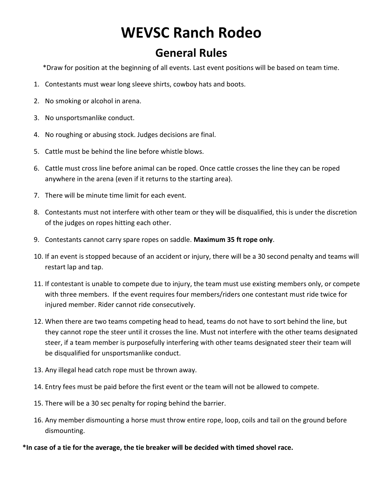# **WEVSC Ranch Rodeo**

#### **General Rules**

\*Draw for position at the beginning of all events. Last event positions will be based on team time.

- 1. Contestants must wear long sleeve shirts, cowboy hats and boots.
- 2. No smoking or alcohol in arena.
- 3. No unsportsmanlike conduct.
- 4. No roughing or abusing stock. Judges decisions are final.
- 5. Cattle must be behind the line before whistle blows.
- 6. Cattle must cross line before animal can be roped. Once cattle crosses the line they can be roped anywhere in the arena (even if it returns to the starting area).
- 7. There will be minute time limit for each event.
- 8. Contestants must not interfere with other team or they will be disqualified, this is under the discretion of the judges on ropes hitting each other.
- 9. Contestants cannot carry spare ropes on saddle. **Maximum 35 ft rope only**.
- 10. If an event is stopped because of an accident or injury, there will be a 30 second penalty and teams will restart lap and tap.
- 11. If contestant is unable to compete due to injury, the team must use existing members only, or compete with three members. If the event requires four members/riders one contestant must ride twice for injured member. Rider cannot ride consecutively.
- 12. When there are two teams competing head to head, teams do not have to sort behind the line, but they cannot rope the steer until it crosses the line. Must not interfere with the other teams designated steer, if a team member is purposefully interfering with other teams designated steer their team will be disqualified for unsportsmanlike conduct.
- 13. Any illegal head catch rope must be thrown away.
- 14. Entry fees must be paid before the first event or the team will not be allowed to compete.
- 15. There will be a 30 sec penalty for roping behind the barrier.
- 16. Any member dismounting a horse must throw entire rope, loop, coils and tail on the ground before dismounting.

**\*In case of a tie for the average, the tie breaker will be decided with timed shovel race.**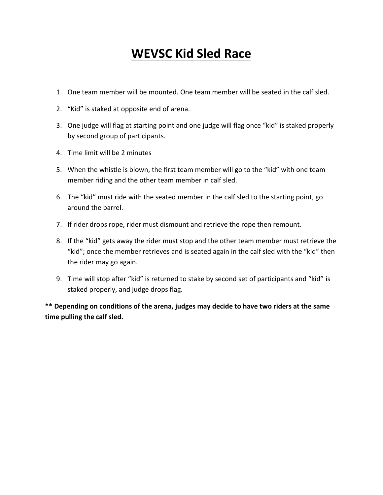## **WEVSC Kid Sled Race**

- 1. One team member will be mounted. One team member will be seated in the calf sled.
- 2. "Kid" is staked at opposite end of arena.
- 3. One judge will flag at starting point and one judge will flag once "kid" is staked properly by second group of participants.
- 4. Time limit will be 2 minutes
- 5. When the whistle is blown, the first team member will go to the "kid" with one team member riding and the other team member in calf sled.
- 6. The "kid" must ride with the seated member in the calf sled to the starting point, go around the barrel.
- 7. If rider drops rope, rider must dismount and retrieve the rope then remount.
- 8. If the "kid" gets away the rider must stop and the other team member must retrieve the "kid"; once the member retrieves and is seated again in the calf sled with the "kid" then the rider may go again.
- 9. Time will stop after "kid" is returned to stake by second set of participants and "kid" is staked properly, and judge drops flag.

**\*\* Depending on conditions of the arena, judges may decide to have two riders at the same time pulling the calf sled.**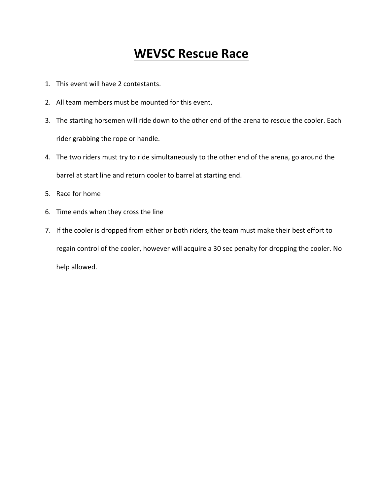### **WEVSC Rescue Race**

- 1. This event will have 2 contestants.
- 2. All team members must be mounted for this event.
- 3. The starting horsemen will ride down to the other end of the arena to rescue the cooler. Each rider grabbing the rope or handle.
- 4. The two riders must try to ride simultaneously to the other end of the arena, go around the barrel at start line and return cooler to barrel at starting end.
- 5. Race for home
- 6. Time ends when they cross the line
- 7. If the cooler is dropped from either or both riders, the team must make their best effort to regain control of the cooler, however will acquire a 30 sec penalty for dropping the cooler. No help allowed.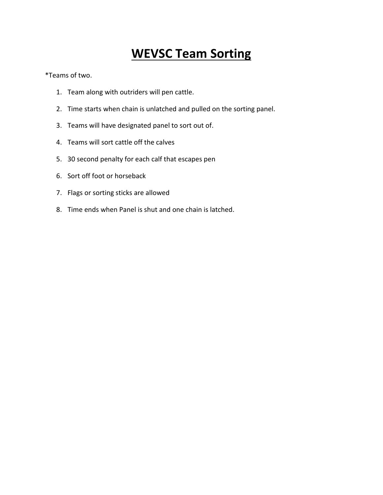## **WEVSC Team Sorting**

\*Teams of two.

- 1. Team along with outriders will pen cattle.
- 2. Time starts when chain is unlatched and pulled on the sorting panel.
- 3. Teams will have designated panel to sort out of.
- 4. Teams will sort cattle off the calves
- 5. 30 second penalty for each calf that escapes pen
- 6. Sort off foot or horseback
- 7. Flags or sorting sticks are allowed
- 8. Time ends when Panel is shut and one chain is latched.